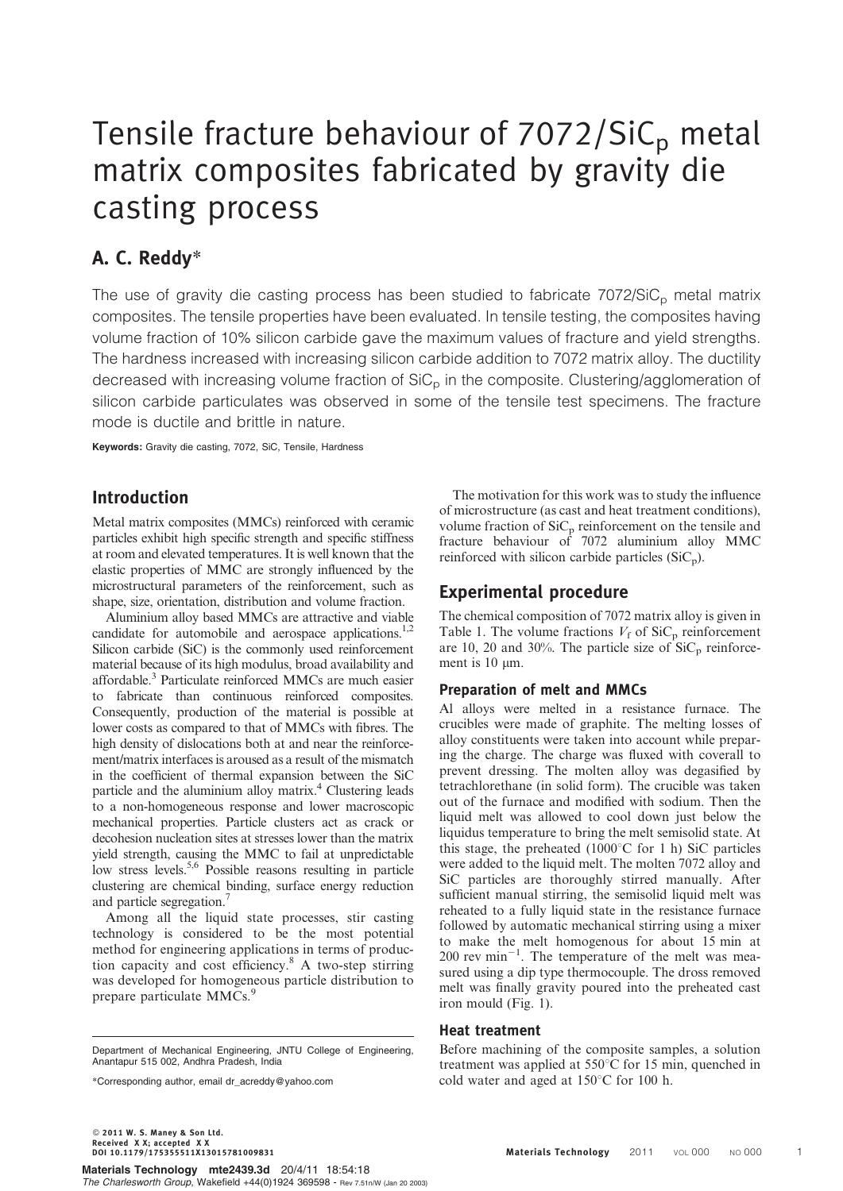# Tensile fracture behaviour of  $7072/SiC<sub>p</sub>$  metal matrix composites fabricated by gravity die casting process

# A. C. Reddy\*

The use of gravity die casting process has been studied to fabricate  $7072/SiC<sub>p</sub>$  metal matrix composites. The tensile properties have been evaluated. In tensile testing, the composites having volume fraction of 10% silicon carbide gave the maximum values of fracture and yield strengths. The hardness increased with increasing silicon carbide addition to 7072 matrix alloy. The ductility decreased with increasing volume fraction of  $SiC<sub>p</sub>$  in the composite. Clustering/agglomeration of silicon carbide particulates was observed in some of the tensile test specimens. The fracture mode is ductile and brittle in nature.

Keywords: Gravity die casting, 7072, SiC, Tensile, Hardness

## Introduction

Metal matrix composites (MMCs) reinforced with ceramic particles exhibit high specific strength and specific stiffness at room and elevated temperatures. It is well known that the elastic properties of MMC are strongly influenced by the microstructural parameters of the reinforcement, such as shape, size, orientation, distribution and volume fraction.

Aluminium alloy based MMCs are attractive and viable candidate for automobile and aerospace applications.<sup>1,2</sup> Silicon carbide (SiC) is the commonly used reinforcement material because of its high modulus, broad availability and affordable.3 Particulate reinforced MMCs are much easier to fabricate than continuous reinforced composites. Consequently, production of the material is possible at lower costs as compared to that of MMCs with fibres. The high density of dislocations both at and near the reinforcement/matrix interfaces is aroused as a result of the mismatch in the coefficient of thermal expansion between the SiC particle and the aluminium alloy matrix.<sup>4</sup> Clustering leads to a non-homogeneous response and lower macroscopic mechanical properties. Particle clusters act as crack or decohesion nucleation sites at stresses lower than the matrix yield strength, causing the MMC to fail at unpredictable low stress levels.<sup>5,6</sup> Possible reasons resulting in particle clustering are chemical binding, surface energy reduction and particle segregation.<sup>7</sup>

Among all the liquid state processes, stir casting technology is considered to be the most potential method for engineering applications in terms of production capacity and cost efficiency.<sup>8</sup> A two-step stirring was developed for homogeneous particle distribution to prepare particulate MMCs.<sup>9</sup>

\*Corresponding author, email dr\_acreddy@yahoo.com

- 2011 W. S. Maney & Son Ltd. Received X X; accepted X X

Materials Technology mte2439.3d 20/4/11 18:54:18 The Charlesworth Group, Wakefield +44(0)1924 369598 - Rev 7.51n/W (Jan 20 2003)

The motivation for this work was to study the influence of microstructure (as cast and heat treatment conditions), volume fraction of  $\text{SiC}_p$  reinforcement on the tensile and fracture behaviour of 7072 aluminium alloy MMC reinforced with silicon carbide particles  $(SiC_p)$ .

### Experimental procedure

The chemical composition of 7072 matrix alloy is given in Table 1. The volume fractions  $V_f$  of SiC<sub>p</sub> reinforcement are 10, 20 and 30%. The particle size of  $\text{SiC}_p$  reinforcement is  $10 \mu m$ .

#### Preparation of melt and MMCs

Al alloys were melted in a resistance furnace. The crucibles were made of graphite. The melting losses of alloy constituents were taken into account while preparing the charge. The charge was fluxed with coverall to prevent dressing. The molten alloy was degasified by tetrachlorethane (in solid form). The crucible was taken out of the furnace and modified with sodium. Then the liquid melt was allowed to cool down just below the liquidus temperature to bring the melt semisolid state. At this stage, the preheated  $(1000^{\circ}C$  for 1 h) SiC particles were added to the liquid melt. The molten 7072 alloy and SiC particles are thoroughly stirred manually. After sufficient manual stirring, the semisolid liquid melt was reheated to a fully liquid state in the resistance furnace followed by automatic mechanical stirring using a mixer to make the melt homogenous for about 15 min at  $200$  rev min<sup>-1</sup>. The temperature of the melt was measured using a dip type thermocouple. The dross removed melt was finally gravity poured into the preheated cast iron mould (Fig. 1).

#### Heat treatment

Before machining of the composite samples, a solution treatment was applied at  $550^{\circ}$ C for 15 min, quenched in cold water and aged at  $150^{\circ}$ C for 100 h.

Department of Mechanical Engineering, JNTU College of Engineering, Anantapur 515 002, Andhra Pradesh, India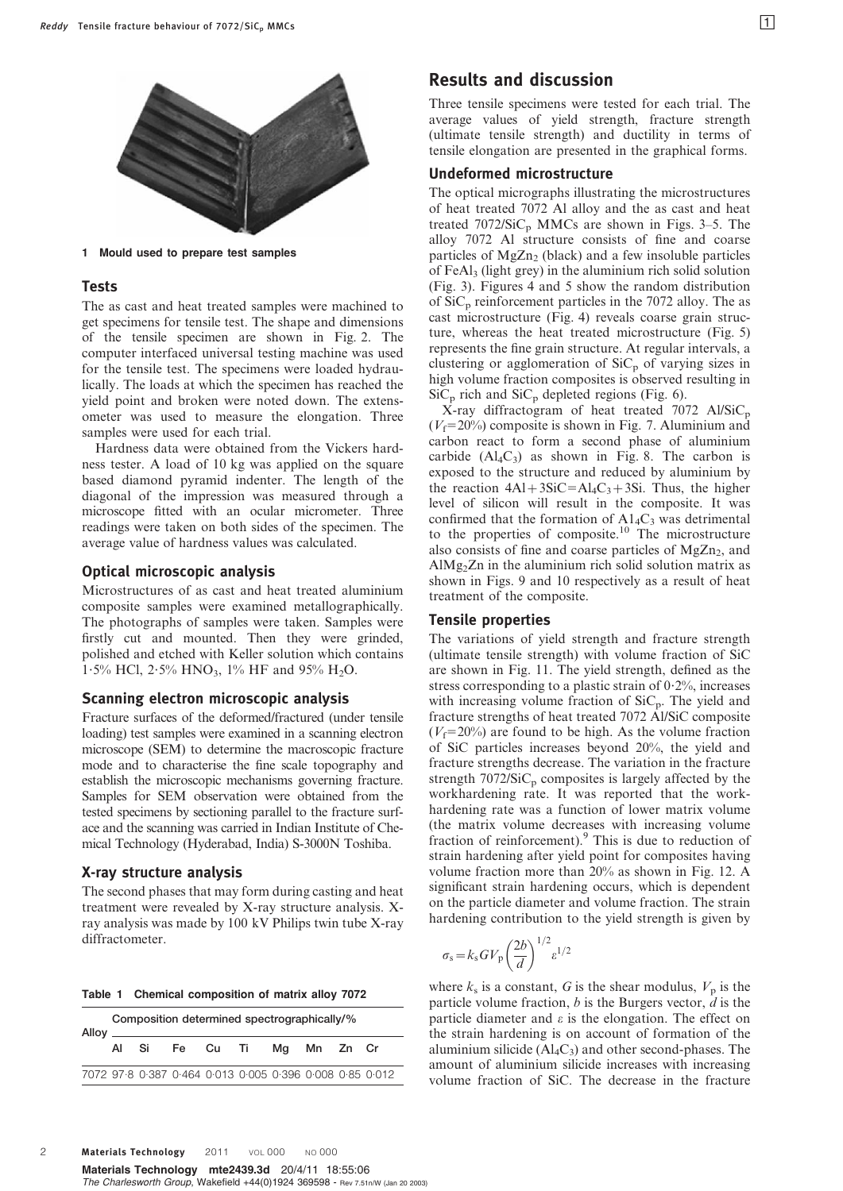

1 Mould used to prepare test samples

#### Tests

The as cast and heat treated samples were machined to get specimens for tensile test. The shape and dimensions of the tensile specimen are shown in Fig. 2. The computer interfaced universal testing machine was used for the tensile test. The specimens were loaded hydraulically. The loads at which the specimen has reached the yield point and broken were noted down. The extensometer was used to measure the elongation. Three samples were used for each trial.

Hardness data were obtained from the Vickers hardness tester. A load of 10 kg was applied on the square based diamond pyramid indenter. The length of the diagonal of the impression was measured through a microscope fitted with an ocular micrometer. Three readings were taken on both sides of the specimen. The average value of hardness values was calculated.

#### Optical microscopic analysis

Microstructures of as cast and heat treated aluminium composite samples were examined metallographically. The photographs of samples were taken. Samples were firstly cut and mounted. Then they were grinded, polished and etched with Keller solution which contains 1.5% HCl, 2.5% HNO<sub>3</sub>, 1% HF and 95% H<sub>2</sub>O.

#### Scanning electron microscopic analysis

Fracture surfaces of the deformed/fractured (under tensile loading) test samples were examined in a scanning electron microscope (SEM) to determine the macroscopic fracture mode and to characterise the fine scale topography and establish the microscopic mechanisms governing fracture. Samples for SEM observation were obtained from the tested specimens by sectioning parallel to the fracture surface and the scanning was carried in Indian Institute of Chemical Technology (Hyderabad, India) S-3000N Toshiba.

#### X-ray structure analysis

The second phases that may form during casting and heat treatment were revealed by X-ray structure analysis. Xray analysis was made by 100 kV Philips twin tube X-ray diffractometer.

|  | Table 1 Chemical composition of matrix alloy 7072 |  |  |
|--|---------------------------------------------------|--|--|
|  |                                                   |  |  |

| Composition determined spectrographically/%<br>Alloy ______ |       |                                                 |  |  |  |  |  |
|-------------------------------------------------------------|-------|-------------------------------------------------|--|--|--|--|--|
|                                                             | Al Si | Fe Cu Ti Mg Mn Zn Cr                            |  |  |  |  |  |
|                                                             |       | 7072 978 0387 0464 0013 0005 0396 0008 085 0012 |  |  |  |  |  |

## Results and discussion

Three tensile specimens were tested for each trial. The average values of yield strength, fracture strength (ultimate tensile strength) and ductility in terms of tensile elongation are presented in the graphical forms.

#### Undeformed microstructure

The optical micrographs illustrating the microstructures of heat treated 7072 Al alloy and the as cast and heat treated  $7072/SiC_p$  MMCs are shown in Figs. 3–5. The alloy 7072 Al structure consists of fine and coarse particles of  $MgZn<sub>2</sub>$  (black) and a few insoluble particles of FeAl3 (light grey) in the aluminium rich solid solution (Fig. 3). Figures 4 and 5 show the random distribution of  $SiC_p$  reinforcement particles in the 7072 alloy. The as cast microstructure (Fig. 4) reveals coarse grain structure, whereas the heat treated microstructure (Fig. 5) represents the fine grain structure. At regular intervals, a clustering or agglomeration of  $\text{SiC}_p$  of varying sizes in high volume fraction composites is observed resulting in  $\overline{SiC_p}$  rich and  $\overline{SiC_p}$  depleted regions (Fig. 6).

 $X$ -ray diffractogram of heat treated 7072 Al/SiC<sub>p</sub>  $(V_f=20\%)$  composite is shown in Fig. 7. Aluminium and carbon react to form a second phase of aluminium carbide  $(Al_4C_3)$  as shown in Fig. 8. The carbon is exposed to the structure and reduced by aluminium by the reaction  $4AI + 3SiC = Al<sub>4</sub>C<sub>3</sub> + 3Si$ . Thus, the higher level of silicon will result in the composite. It was confirmed that the formation of  $A1_4C_3$  was detrimental to the properties of composite.<sup>10</sup> The microstructure also consists of fine and coarse particles of  $MgZn<sub>2</sub>$ , and AlMg<sub>2</sub>Zn in the aluminium rich solid solution matrix as shown in Figs. 9 and 10 respectively as a result of heat treatment of the composite.

#### Tensile properties

The variations of yield strength and fracture strength (ultimate tensile strength) with volume fraction of SiC are shown in Fig. 11. The yield strength, defined as the stress corresponding to a plastic strain of  $0.2\%$ , increases with increasing volume fraction of  $SiC_p$ . The yield and fracture strengths of heat treated 7072 Al/SiC composite  $(V_f=20\%)$  are found to be high. As the volume fraction of SiC particles increases beyond 20%, the yield and fracture strengths decrease. The variation in the fracture strength  $7072/SiC<sub>p</sub>$  composites is largely affected by the workhardening rate. It was reported that the workhardening rate was a function of lower matrix volume (the matrix volume decreases with increasing volume fraction of reinforcement).<sup>9</sup> This is due to reduction of strain hardening after yield point for composites having volume fraction more than 20% as shown in Fig. 12. A significant strain hardening occurs, which is dependent on the particle diameter and volume fraction. The strain hardening contribution to the yield strength is given by

$$
\sigma_{\rm s} = k_{\rm s} G V_{\rm p} \left(\frac{2b}{d}\right)^{1/2} \varepsilon^{1/2}
$$

where  $k<sub>s</sub>$  is a constant, G is the shear modulus,  $V<sub>p</sub>$  is the particle volume fraction,  $b$  is the Burgers vector,  $d$  is the particle diameter and  $\varepsilon$  is the elongation. The effect on the strain hardening is on account of formation of the aluminium silicide  $(Al_4C_3)$  and other second-phases. The amount of aluminium silicide increases with increasing volume fraction of SiC. The decrease in the fracture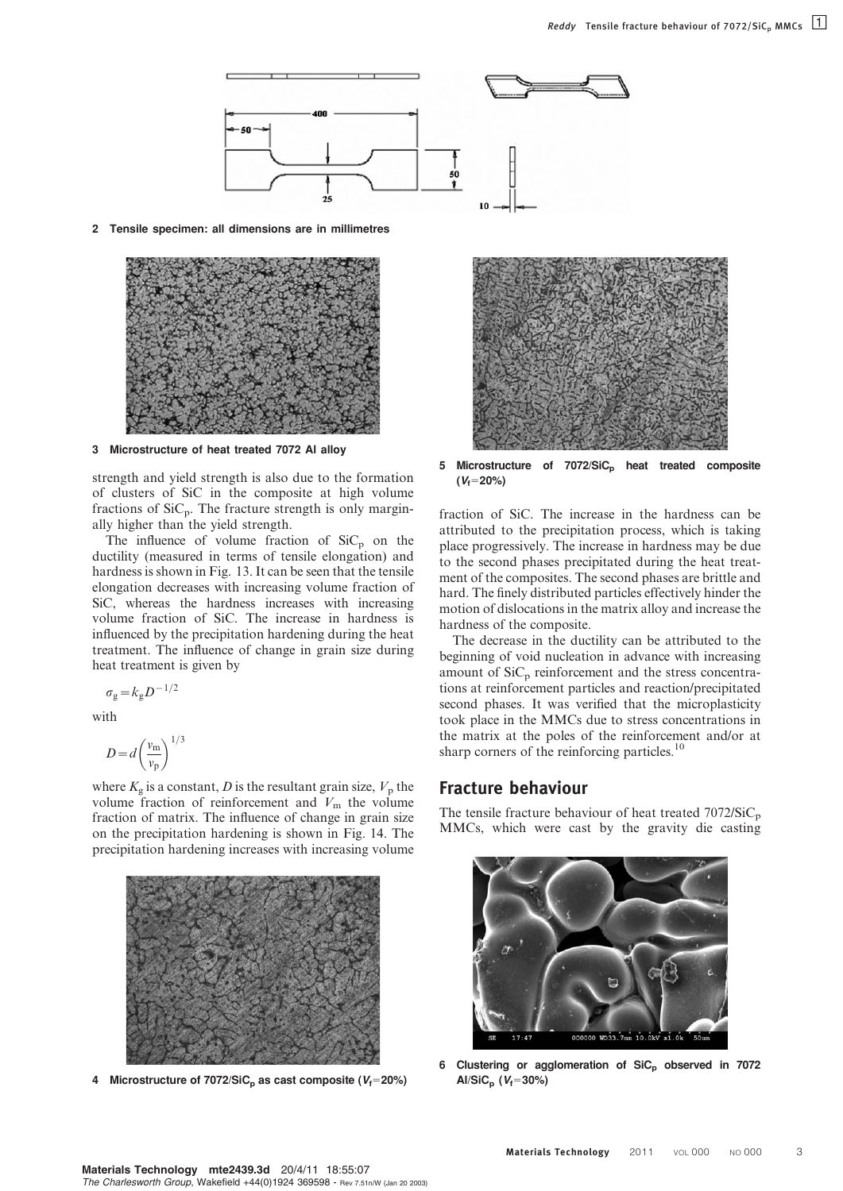

2 Tensile specimen: all dimensions are in millimetres



3 Microstructure of heat treated 7072 Al alloy

strength and yield strength is also due to the formation of clusters of SiC in the composite at high volume fractions of  $\text{SiC}_p$ . The fracture strength is only marginally higher than the yield strength.

The influence of volume fraction of  $SiC<sub>p</sub>$  on the ductility (measured in terms of tensile elongation) and hardness is shown in Fig. 13. It can be seen that the tensile elongation decreases with increasing volume fraction of SiC, whereas the hardness increases with increasing volume fraction of SiC. The increase in hardness is influenced by the precipitation hardening during the heat treatment. The influence of change in grain size during heat treatment is given by

$$
\sigma_{\rm g}\!=\!k_{\rm g}D^{-1/2}
$$

with

$$
D = d \left(\frac{v_{\rm m}}{v_{\rm p}}\right)^{1/3}
$$

where  $K_{\rm g}$  is a constant, D is the resultant grain size,  $V_{\rm p}$  the volume fraction of reinforcement and  $V<sub>m</sub>$  the volume fraction of matrix. The influence of change in grain size on the precipitation hardening is shown in Fig. 14. The precipitation hardening increases with increasing volume



4 Microstructure of 7072/SiC<sub>p</sub> as cast composite ( $V_f$ =20%)



5 Microstructure of 7072/SiC<sub>p</sub> heat treated composite  $(V_f=20%)$ 

fraction of SiC. The increase in the hardness can be attributed to the precipitation process, which is taking place progressively. The increase in hardness may be due to the second phases precipitated during the heat treatment of the composites. The second phases are brittle and hard. The finely distributed particles effectively hinder the motion of dislocations in the matrix alloy and increase the hardness of the composite.

The decrease in the ductility can be attributed to the beginning of void nucleation in advance with increasing amount of  $\text{SiC}_p$  reinforcement and the stress concentrations at reinforcement particles and reaction/precipitated second phases. It was verified that the microplasticity took place in the MMCs due to stress concentrations in the matrix at the poles of the reinforcement and/or at sharp corners of the reinforcing particles.<sup>10</sup>

#### Fracture behaviour

The tensile fracture behaviour of heat treated  $7072/SiC_p$ MMCs, which were cast by the gravity die casting



6 Clustering or agglomeration of SiC<sub>p</sub> observed in 7072 Al/SiC<sub>p</sub> ( $V_f$ =30%)

Materials Technology mte2439.3d 20/4/11 18:55:07 The Charlesworth Group, Wakefield +44(0)1924 369598 - Rev 7.51n/W (Jan 20 2003)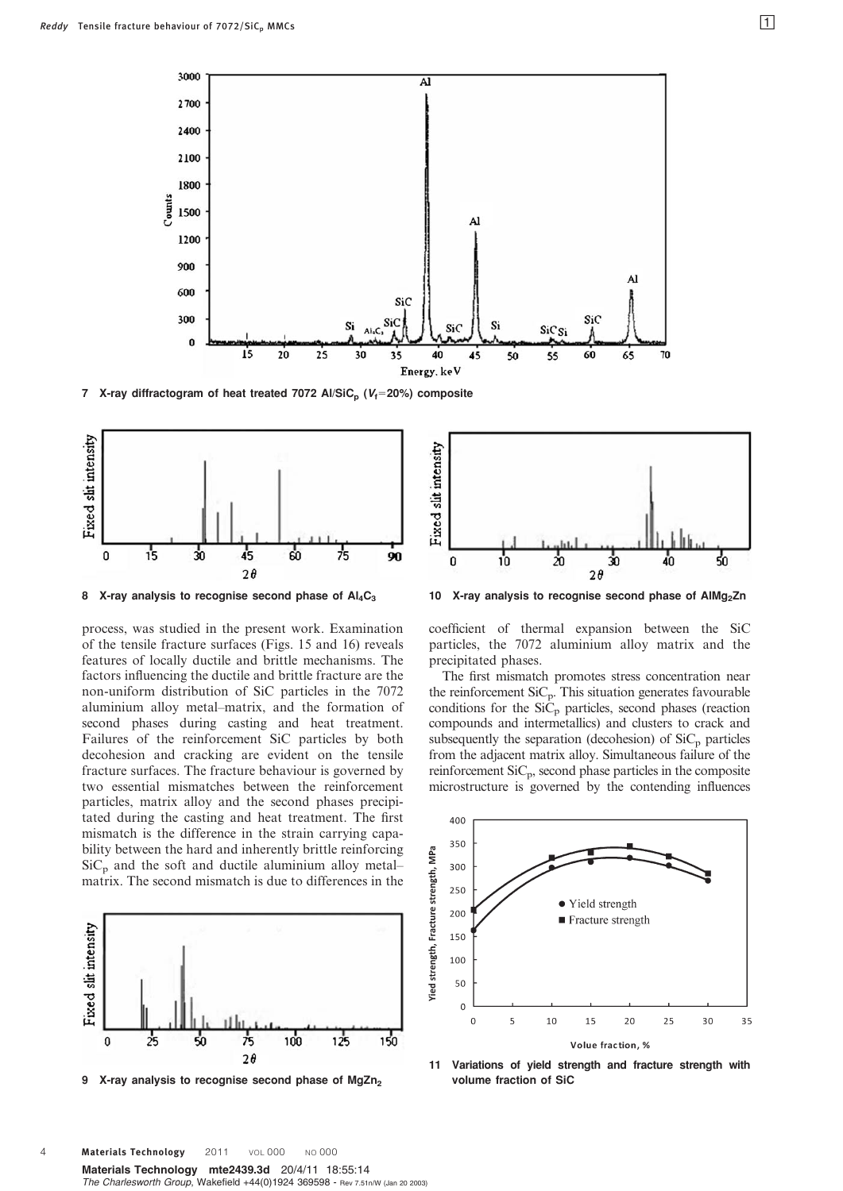

7 X-ray diffractogram of heat treated 7072 Al/SiC<sub>p</sub> ( $V_f$ =20%) composite



8 X-ray analysis to recognise second phase of  $Al_4C_3$ 

process, was studied in the present work. Examination of the tensile fracture surfaces (Figs. 15 and 16) reveals features of locally ductile and brittle mechanisms. The factors influencing the ductile and brittle fracture are the non-uniform distribution of SiC particles in the 7072 aluminium alloy metal–matrix, and the formation of second phases during casting and heat treatment. Failures of the reinforcement SiC particles by both decohesion and cracking are evident on the tensile fracture surfaces. The fracture behaviour is governed by two essential mismatches between the reinforcement particles, matrix alloy and the second phases precipitated during the casting and heat treatment. The first mismatch is the difference in the strain carrying capability between the hard and inherently brittle reinforcing  $SiC<sub>p</sub>$  and the soft and ductile aluminium alloy metal– matrix. The second mismatch is due to differences in the



9 X-ray analysis to recognise second phase of MgZn<sub>2</sub>



10 X-ray analysis to recognise second phase of AlMg<sub>2</sub>Zn

coefficient of thermal expansion between the SiC particles, the 7072 aluminium alloy matrix and the precipitated phases.

The first mismatch promotes stress concentration near the reinforcement  $\text{SiC}_p$ . This situation generates favourable conditions for the  $Si\ddot{C}_{p}$  particles, second phases (reaction compounds and intermetallics) and clusters to crack and subsequently the separation (decohesion) of  $\text{SiC}_p$  particles from the adjacent matrix alloy. Simultaneous failure of the reinforcement SiCp, second phase particles in the composite microstructure is governed by the contending influences





Materials Technology mte2439.3d 20/4/11 18:55:14 The Charlesworth Group, Wakefield +44(0)1924 369598 - Rev 7.51n/W (Jan 20 2003) 4 **Materials Technology** 2011 VOL 000 NO 000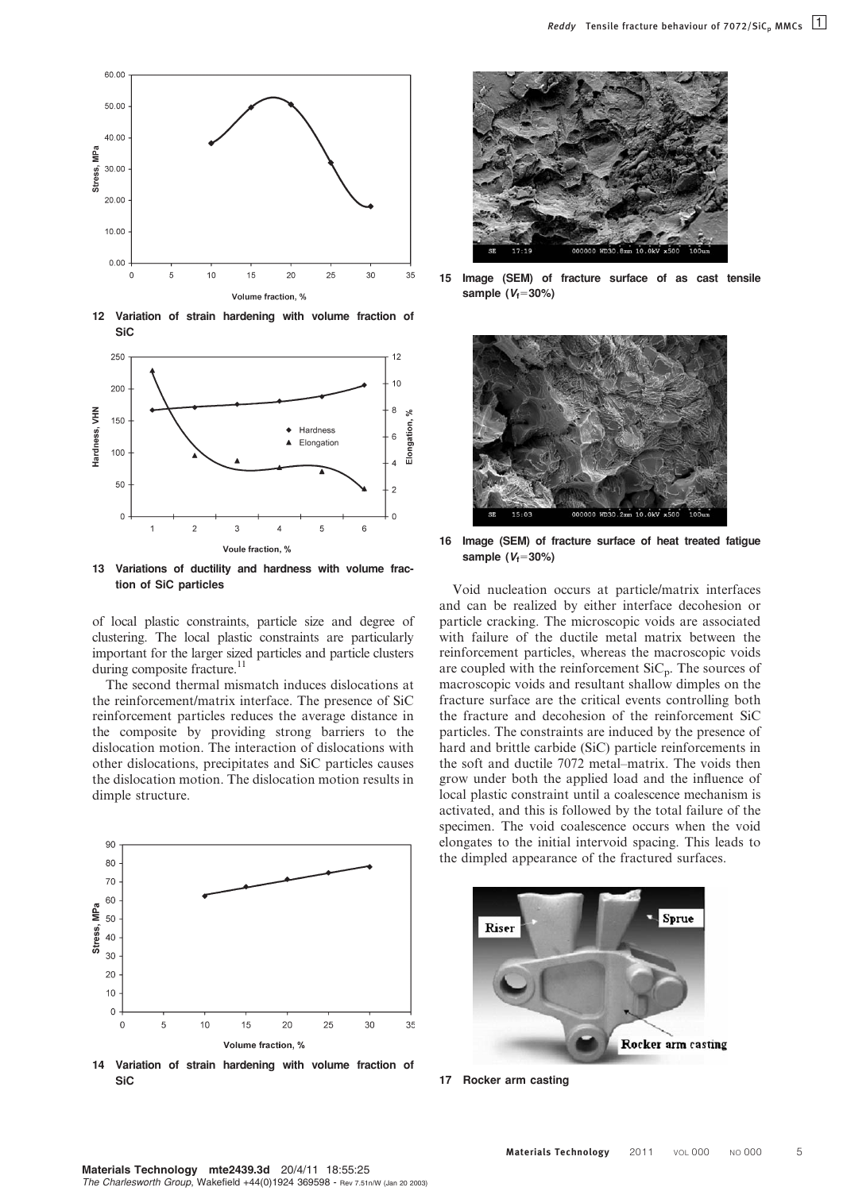

12 Variation of strain hardening with volume fraction of SiC



13 Variations of ductility and hardness with volume fraction of SiC particles

of local plastic constraints, particle size and degree of clustering. The local plastic constraints are particularly important for the larger sized particles and particle clusters during composite fracture.<sup>11</sup>

The second thermal mismatch induces dislocations at the reinforcement/matrix interface. The presence of SiC reinforcement particles reduces the average distance in the composite by providing strong barriers to the dislocation motion. The interaction of dislocations with other dislocations, precipitates and SiC particles causes the dislocation motion. The dislocation motion results in dimple structure.



14 Variation of strain hardening with volume fraction of **SiC** 



15 Image (SEM) of fracture surface of as cast tensile sample  $(V_f=30\%)$ 



16 Image (SEM) of fracture surface of heat treated fatigue sample  $(V_f=30\%)$ 

Void nucleation occurs at particle/matrix interfaces and can be realized by either interface decohesion or particle cracking. The microscopic voids are associated with failure of the ductile metal matrix between the reinforcement particles, whereas the macroscopic voids are coupled with the reinforcement  $\text{SiC}_p$ . The sources of macroscopic voids and resultant shallow dimples on the fracture surface are the critical events controlling both the fracture and decohesion of the reinforcement SiC particles. The constraints are induced by the presence of hard and brittle carbide (SiC) particle reinforcements in the soft and ductile 7072 metal–matrix. The voids then grow under both the applied load and the influence of local plastic constraint until a coalescence mechanism is activated, and this is followed by the total failure of the specimen. The void coalescence occurs when the void elongates to the initial intervoid spacing. This leads to the dimpled appearance of the fractured surfaces.



17 Rocker arm casting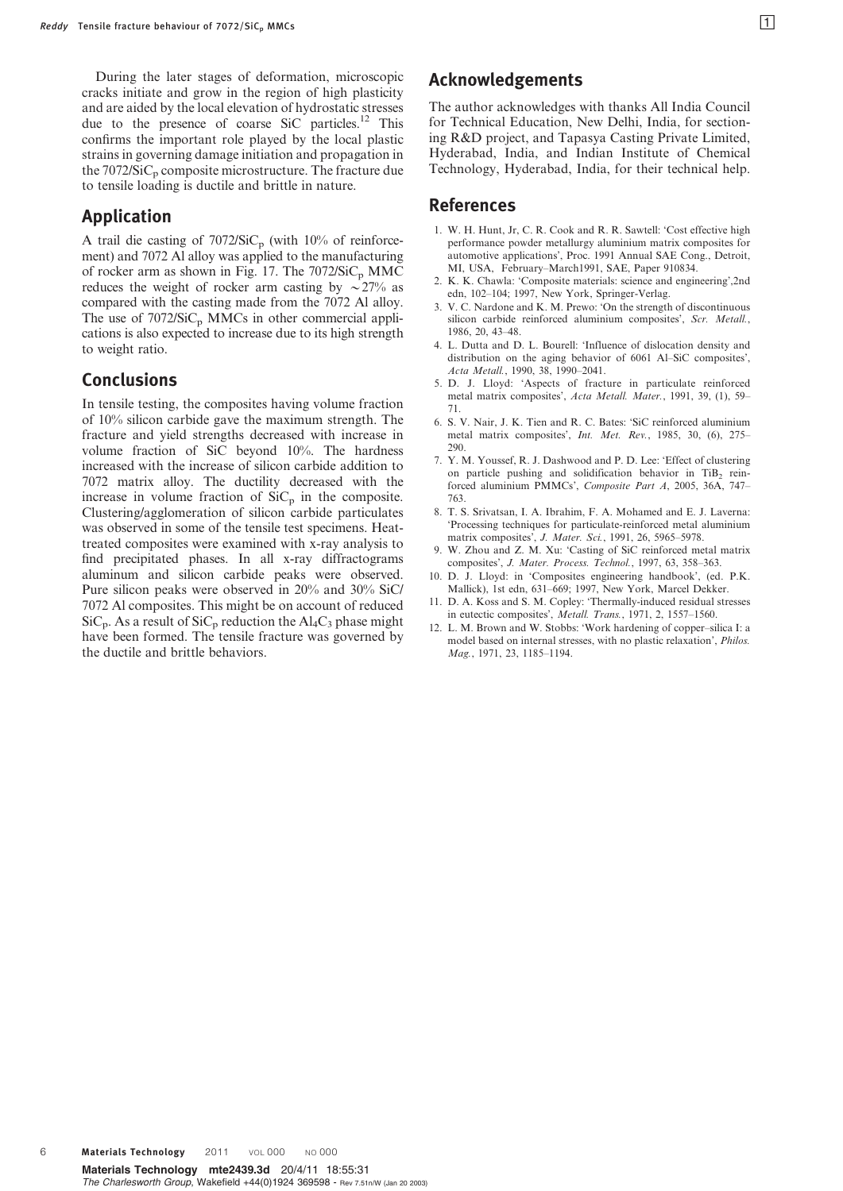During the later stages of deformation, microscopic cracks initiate and grow in the region of high plasticity and are aided by the local elevation of hydrostatic stresses due to the presence of coarse SiC particles.<sup>12</sup> This confirms the important role played by the local plastic strains in governing damage initiation and propagation in the  $7072/SiC<sub>p</sub>$  composite microstructure. The fracture due to tensile loading is ductile and brittle in nature.

## Application

A trail die casting of  $7072/SiC_p$  (with 10% of reinforcement) and 7072 Al alloy was applied to the manufacturing of rocker arm as shown in Fig. 17. The  $7072/SiC<sub>p</sub>$  MMC reduces the weight of rocker arm casting by  $\sim$  27% as compared with the casting made from the 7072 Al alloy. The use of  $7072/SiC<sub>p</sub>$  MMCs in other commercial applications is also expected to increase due to its high strength to weight ratio.

## Conclusions

In tensile testing, the composites having volume fraction of 10% silicon carbide gave the maximum strength. The fracture and yield strengths decreased with increase in volume fraction of SiC beyond 10%. The hardness increased with the increase of silicon carbide addition to 7072 matrix alloy. The ductility decreased with the increase in volume fraction of  $\text{SiC}_p$  in the composite. Clustering/agglomeration of silicon carbide particulates was observed in some of the tensile test specimens. Heattreated composites were examined with x-ray analysis to find precipitated phases. In all x-ray diffractograms aluminum and silicon carbide peaks were observed. Pure silicon peaks were observed in 20% and 30% SiC/ 7072 Al composites. This might be on account of reduced  $\text{SiC}_p$ . As a result of  $\text{SiC}_p$  reduction the Al<sub>4</sub>C<sub>3</sub> phase might have been formed. The tensile fracture was governed by the ductile and brittle behaviors.

## Acknowledgements

The author acknowledges with thanks All India Council for Technical Education, New Delhi, India, for sectioning R&D project, and Tapasya Casting Private Limited, Hyderabad, India, and Indian Institute of Chemical Technology, Hyderabad, India, for their technical help.

## References

- 1. W. H. Hunt, Jr, C. R. Cook and R. R. Sawtell: 'Cost effective high performance powder metallurgy aluminium matrix composites for automotive applications', Proc. 1991 Annual SAE Cong., Detroit, MI, USA, February–March1991, SAE, Paper 910834.
- 2. K. K. Chawla: 'Composite materials: science and engineering',2nd edn, 102–104; 1997, New York, Springer-Verlag.
- 3. V. C. Nardone and K. M. Prewo: 'On the strength of discontinuous silicon carbide reinforced aluminium composites', Scr. Metall., 1986, 20, 43–48.
- 4. L. Dutta and D. L. Bourell: 'Influence of dislocation density and distribution on the aging behavior of 6061 Al–SiC composites', Acta Metall., 1990, 38, 1990–2041.
- 5. D. J. Lloyd: 'Aspects of fracture in particulate reinforced metal matrix composites', Acta Metall. Mater., 1991, 39, (1), 59– 71.
- 6. S. V. Nair, J. K. Tien and R. C. Bates: 'SiC reinforced aluminium metal matrix composites', Int. Met. Rev., 1985, 30, (6), 275– 290.
- 7. Y. M. Youssef, R. J. Dashwood and P. D. Lee: 'Effect of clustering on particle pushing and solidification behavior in TiB<sub>2</sub> reinforced aluminium PMMCs', Composite Part A, 2005, 36A, 747– 763.
- 8. T. S. Srivatsan, I. A. Ibrahim, F. A. Mohamed and E. J. Laverna: 'Processing techniques for particulate-reinforced metal aluminium matrix composites', J. Mater. Sci., 1991, 26, 5965–5978.
- 9. W. Zhou and Z. M. Xu: 'Casting of SiC reinforced metal matrix composites', J. Mater. Process. Technol., 1997, 63, 358–363.
- 10. D. J. Lloyd: in 'Composites engineering handbook', (ed. P.K. Mallick), 1st edn, 631–669; 1997, New York, Marcel Dekker.
- 11. D. A. Koss and S. M. Copley: 'Thermally-induced residual stresses in eutectic composites', Metall. Trans., 1971, 2, 1557–1560.
- 12. L. M. Brown and W. Stobbs: 'Work hardening of copper–silica I: a model based on internal stresses, with no plastic relaxation', Philos. Mag., 1971, 23, 1185–1194.